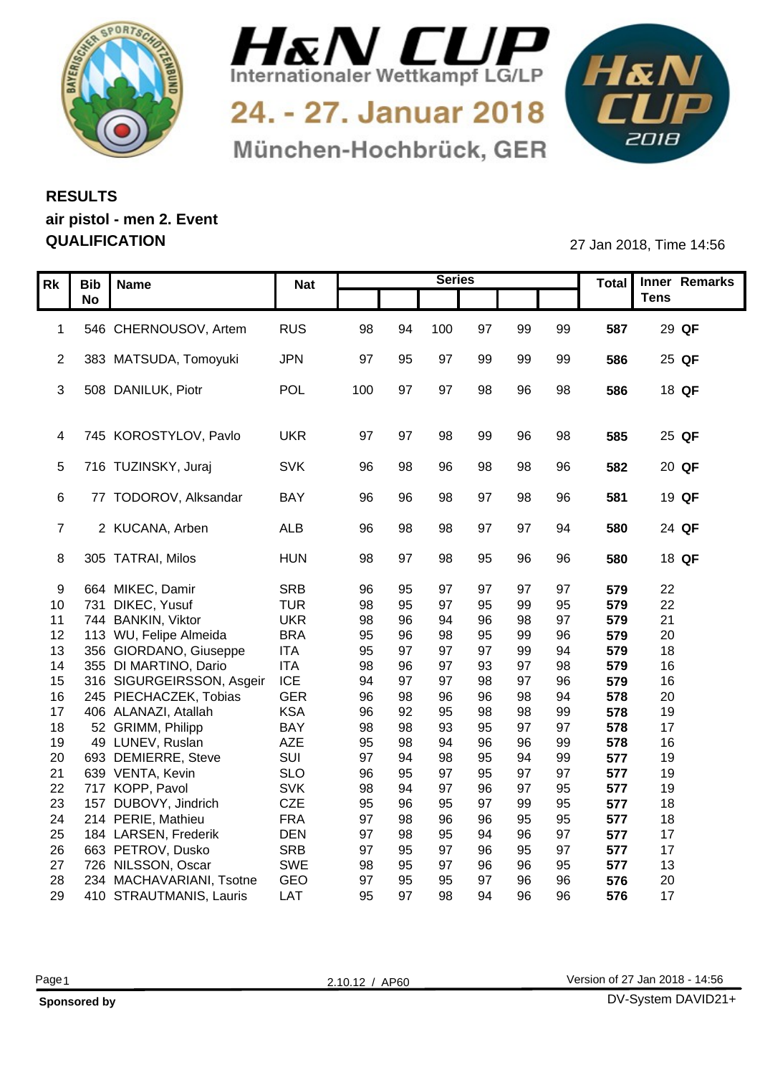



24. - 27. Januar 2018 München-Hochbrück, GER



## **RESULTS air pistol - men 2. Event**

**QUALIFICATION** 27 Jan 2018, Time 14:56

|    | Rk   Bib   Name                              | <b>Nat</b>               |          |          | <b>Series</b> |          |                |          |            | Total Inner Remarks |
|----|----------------------------------------------|--------------------------|----------|----------|---------------|----------|----------------|----------|------------|---------------------|
|    | No                                           |                          |          |          |               |          |                |          |            | <b>Tens</b>         |
|    |                                              |                          |          |          |               |          |                |          |            |                     |
|    | 1 546 CHERNOUSOV, Artem                      | <b>RUS</b>               | 98       | 94       | 100           | 97       | 99             | 99       | 587        | 29 QF               |
|    |                                              |                          |          |          |               |          |                |          |            |                     |
|    | 2 383 MATSUDA, Tomoyuki                      | <b>JPN</b>               | 97       | 95       | -97           | 99       | 99             | 99       | 586        | 25 QF               |
|    | 3 508 DANILUK, Piotr                         | POL                      | 100      | 97       | 97            | 98       | 96             | 98       | 586        | 18 QF               |
|    |                                              |                          |          |          |               |          |                |          |            |                     |
|    |                                              |                          |          |          |               |          |                |          |            |                     |
|    | 4 745 KOROSTYLOV, Pavlo                      | <b>UKR</b>               | -97      |          | 98            | 99       | 96             | 98       | 585        | 25 QF               |
|    |                                              |                          |          |          |               |          |                |          |            |                     |
|    | 5 716 TUZINSKY, Juraj                        | SVK                      |          | 98       | 96            | 98       | 98             | 96       | 582        | 20 QF               |
|    |                                              |                          |          |          |               |          |                |          |            |                     |
|    | 6 77 TODOROV, Alksandar                      | BAY                      | 96       | 96       | 98            | 97       | 98             | 96       | 581        | 19 QF               |
|    |                                              |                          |          |          |               |          |                |          |            |                     |
|    | 7 2 KUCANA, Arben                            | <b>ALB</b>               | 96       | 98       | 98            | 97       | 97             | 94       | 580        | 24 QF               |
|    | 8 305 TATRAI, Milos                          | <b>HUN</b>               | 98       | 97       | 98            | 95       | 96             | 96       | 580        | 18 QF               |
|    |                                              |                          |          |          |               |          |                |          |            |                     |
|    | 9 664 MIKEC, Damir                           | SRB                      | 96       | -95      | Q.            | 97       |                |          | 579        | 22                  |
|    | 10 731 DIKEC, Yusuf                          | <b>TUR</b>               | 98       | 95       | 97            | 95       | qq             | 95       | 579        | 22                  |
|    | 11 744 BANKIN, Viktor                        | <b>UKR</b>               | 98       | 96       |               | 96       | 98             | 97       | 579        | 21                  |
|    | 12 113 WU, Felipe Almeida                    | <b>BRA</b>               | 95       | 96       | 98            | 95       | 99             | 96       | 579        | 20                  |
|    | 13 356 GIORDANO, Giuseppe                    | <b>ITA</b>               | 95       | -97      | 97            | 97       | 99             | 94       | 579        | 18                  |
| 14 | 355 DI MARTINO, Dario                        | <b>ITA</b>               | 98       | 96       | 97            | 93       | 97             | 98       | 579        | 16                  |
|    | 15 316 SIGURGEIRSSON, Asgeir                 | <b>ICE</b>               | 94       | -97      | 97            | 98       | Q <sub>7</sub> | 96       | 579        | 16                  |
|    | 16 245 PIECHACZEK, Tobias                    | <b>GER</b>               | 96       | 98       | 96            | 96<br>98 | 98<br>98       | 94       | 578        | 20<br>19            |
| 18 | 17 406 ALANAZI, Atallah<br>52 GRIMM, Philipp | <b>KSA</b><br><b>BAY</b> | 96<br>98 | 92<br>98 | 95<br>93      | 95       | 97             | 99<br>97 | 578<br>578 | 17                  |
| 19 | 49 LUNEV, Ruslan                             | AZE                      | 95       | 98       |               | 96       |                | 99       | 578        | 16                  |
| 20 | 693 DEMIERRE, Steve                          | SUI                      | 97       |          | 98            | 95       | 94             | 99       | 577        | 19                  |
|    | 21 639 VENTA, Kevin                          | <b>SLO</b>               | 96       | 95       | 97            | 95       | Q <sub>7</sub> | 97       | 577        | 19                  |
|    | 22 717 KOPP, Pavol                           | SVK                      | 98       |          | 97            | 96       | Q <sub>7</sub> | 95       | 577        | 19                  |
|    | 23 157 DUBOVY, Jindrich                      | CZE                      | 95       | 96       | 95            | 97       | 99             | 95       | 577        | 18                  |
| 24 | 214 PERIE, Mathieu                           | <b>FRA</b>               | 97       | 98       | 96            | 96       | 95             | 95       | 577        | 18                  |
|    | 25 184 LARSEN, Frederik                      | <b>DEN</b>               | 97       | 98       | 95            | 94       | 96             | 97       | 577        | 17                  |
|    | 26 663 PETROV, Dusko                         | SRB                      | 97       | 95       | 97            | 96       | 95             | 97       | 577        | 17                  |
|    | 27 726 NILSSON, Oscar                        | SWE                      | 98       | 95       | 97            | 96       | 96             | 95       | 577        | 13                  |
| 28 | 234 MACHAVARIANI, Tsotne                     | GEO                      | 97       | 95<br>97 | 95            | 97       |                | 96       | 576        | 20<br>17            |
|    | 29 410 STRAUTMANIS, Lauris                   | LAT                      | 95       |          | 98            | 94       | 96             | 96       | 576        |                     |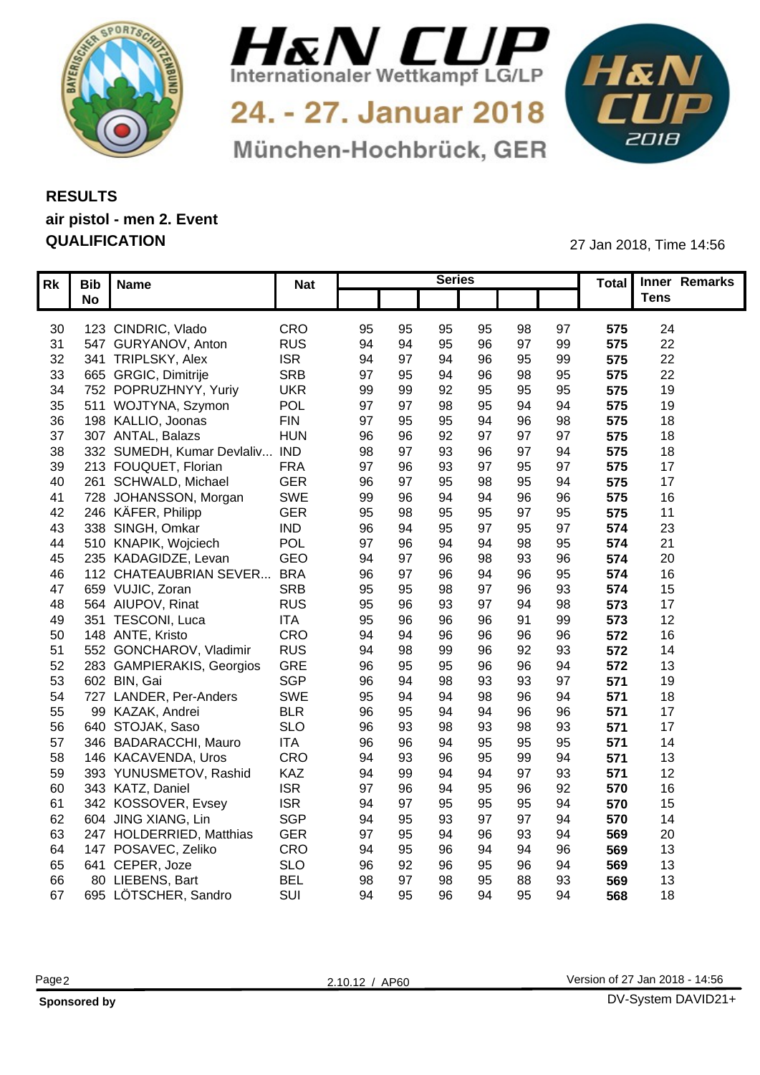



24. - 27. Januar 2018 München-Hochbrück, GER



## **RESULTS air pistol - men 2. Event QUALIFICATION** 27 Jan 2018, Time 14:56

| $\overline{\phantom{a}}$ Tens<br><b>No</b><br>123 CINDRIC, Vlado<br>CRO<br>575<br>24<br>95<br>95<br>95<br>95<br>98<br>97<br>30<br><b>RUS</b><br>95<br>22<br>94<br>96<br>07<br>99<br>547 GURYANOV, Anton<br>575<br>31<br>$\alpha$<br><b>ISR</b><br>95<br>99<br>22<br>32 <sup>2</sup><br>341 TRIPLSKY, Alex<br>94<br><sup>07</sup><br>94<br>575<br><b>SRB</b><br>95<br>97<br>22<br>665 GRGIC, Dimitrije<br>98<br>575<br>33<br><b>UKR</b><br>95<br>99<br>95<br>19<br>34 752 POPRUZHNYY, Yuriy<br>99<br>92<br>95<br>575<br>POL<br>511 WOJTYNA, Szymon<br>97<br>94<br>575<br>19<br>95<br>35<br>98<br><b>FIN</b><br>98<br>97<br>95<br>575<br>18<br>36<br>198 KALLIO, Joonas<br>95<br>96<br>307 ANTAL, Balazs<br><b>HUN</b><br>Q <sub>7</sub><br>575<br>96<br>Q7<br>18<br>37<br>332 SUMEDH, Kumar Devlaliv.<br><b>IND</b><br>94<br>575<br>98<br>Q <sub>7</sub><br>18<br>38<br><b>FRA</b><br>97<br>97<br>575<br>17<br>213 FOUQUET, Florian<br>95<br>39<br>93<br><b>GER</b><br>575<br>17<br>96<br>94<br>261 SCHWALD, Michael<br>97<br>95<br>95<br>98<br>40<br>728 JOHANSSON, Morgan<br>SWE<br>99<br>575<br>16<br>96<br>۹۷<br>-41<br><b>GER</b><br>42 246 KÄFER, Philipp<br>95<br>95<br>95<br>95<br>Q <sub>7</sub><br>575<br>11<br>98<br><b>IND</b><br>95<br>97<br>23<br>43 338 SINGH, Omkar<br>96<br>95<br>574<br>-94<br>POL<br>95<br>21<br>97<br>574<br>510 KNAPIK, Wojciech<br>94<br>98<br>44<br>GEO<br>96<br>20<br>94<br>97<br>235 KADAGIDZE, Levan<br>574<br>45<br>96<br><b>BRA</b><br>112 CHATEAUBRIAN SEVER.<br>96<br>95<br>07<br>96<br>16<br>46<br>574<br><b>SRB</b><br>95<br>93<br>15<br>659 VUJIC, Zoran<br>47<br>-95<br>574<br>564 AIUPOV, Rinat<br><b>RUS</b><br>95<br>98<br>573<br>17<br>94<br>48<br><b>ITA</b><br>99<br>95<br>12<br>351 TESCONI, Luca<br>573<br>49<br>۹<br>CRO<br>94<br>96<br>572<br>16<br>148 ANTE, Kristo<br>96<br>-94<br>96<br>50<br>96<br><b>RUS</b><br>552 GONCHAROV, Vladimir<br>94<br>93<br>572<br>14<br>96<br>92<br>51<br>-98<br>99<br>GRE<br>283 GAMPIERAKIS, Georgios<br>96<br>95<br>96<br>96<br>94<br>13<br>572<br>95<br>52 <sub>2</sub><br><b>SGP</b><br>93<br>97<br>53 602 BIN, Gai<br>96<br>98<br>571<br>19<br>-94<br>93<br>SWE<br>94<br>54 727 LANDER, Per-Anders<br>95<br>96<br>18<br>571<br>$\alpha$<br><b>BLR</b><br>96<br>17<br>96<br>96<br>571<br>99 KAZAK, Andrei<br>95<br>55<br><b>SLO</b><br>640 STOJAK, Saso<br>96<br>17<br>56<br>98<br>93<br>571<br>-93<br>93<br><b>ITA</b><br>346 BADARACCHI, Mauro<br>96<br>95<br>95<br>95<br>14<br>571<br>57<br>CRO<br>146 KACAVENDA, Uros<br>99<br>94<br>13<br>94<br>95<br>571<br>58<br>-93<br>KAZ<br>12<br>393 YUNUSMETOV, Rashid<br>94<br>93<br>97<br>571<br>59<br>-99<br><b>ISR</b><br>92<br>570<br>16<br>343 KATZ, Daniel<br>97<br>95<br>96<br>-96<br>94<br>60 -<br>342 KOSSOVER, Evsey<br><b>ISR</b><br>15<br>95<br>94<br>570<br>94<br>- Q7<br>95<br>95<br>61<br><b>SGP</b><br>604 JING XIANG, Lin<br>94<br>O.<br>QA<br>14<br>62<br>-95<br>93<br>570<br>63 247 HOLDERRIED, Matthias<br><b>GER</b><br>94<br>20<br>97<br>93<br>569<br>-95<br>9۴<br>CRO<br>147 POSAVEC, Zeliko<br>96<br>13<br>94<br>569<br>64<br>-95<br>$Q_2$<br><b>SLO</b><br>94<br>13<br>65 641 CEPER, Joze<br>96<br>96<br>569<br>-92<br>95<br><b>BEL</b><br>80 LIEBENS, Bart<br>13<br>98<br>93<br>569<br>66<br>88<br>95 | Rk   Bib   Name         | <b>Nat</b> |    | <b>Series</b> |    |  |     | Total Inner Remarks |  |
|-------------------------------------------------------------------------------------------------------------------------------------------------------------------------------------------------------------------------------------------------------------------------------------------------------------------------------------------------------------------------------------------------------------------------------------------------------------------------------------------------------------------------------------------------------------------------------------------------------------------------------------------------------------------------------------------------------------------------------------------------------------------------------------------------------------------------------------------------------------------------------------------------------------------------------------------------------------------------------------------------------------------------------------------------------------------------------------------------------------------------------------------------------------------------------------------------------------------------------------------------------------------------------------------------------------------------------------------------------------------------------------------------------------------------------------------------------------------------------------------------------------------------------------------------------------------------------------------------------------------------------------------------------------------------------------------------------------------------------------------------------------------------------------------------------------------------------------------------------------------------------------------------------------------------------------------------------------------------------------------------------------------------------------------------------------------------------------------------------------------------------------------------------------------------------------------------------------------------------------------------------------------------------------------------------------------------------------------------------------------------------------------------------------------------------------------------------------------------------------------------------------------------------------------------------------------------------------------------------------------------------------------------------------------------------------------------------------------------------------------------------------------------------------------------------------------------------------------------------------------------------------------------------------------------------------------------------------------------------------------------------------------------------------------------------------------------------------------------------------------------------------------------------------------------------------------------------------------------------------------------------------------------------|-------------------------|------------|----|---------------|----|--|-----|---------------------|--|
|                                                                                                                                                                                                                                                                                                                                                                                                                                                                                                                                                                                                                                                                                                                                                                                                                                                                                                                                                                                                                                                                                                                                                                                                                                                                                                                                                                                                                                                                                                                                                                                                                                                                                                                                                                                                                                                                                                                                                                                                                                                                                                                                                                                                                                                                                                                                                                                                                                                                                                                                                                                                                                                                                                                                                                                                                                                                                                                                                                                                                                                                                                                                                                                                                                                                               |                         |            |    |               |    |  |     |                     |  |
|                                                                                                                                                                                                                                                                                                                                                                                                                                                                                                                                                                                                                                                                                                                                                                                                                                                                                                                                                                                                                                                                                                                                                                                                                                                                                                                                                                                                                                                                                                                                                                                                                                                                                                                                                                                                                                                                                                                                                                                                                                                                                                                                                                                                                                                                                                                                                                                                                                                                                                                                                                                                                                                                                                                                                                                                                                                                                                                                                                                                                                                                                                                                                                                                                                                                               |                         |            |    |               |    |  |     |                     |  |
|                                                                                                                                                                                                                                                                                                                                                                                                                                                                                                                                                                                                                                                                                                                                                                                                                                                                                                                                                                                                                                                                                                                                                                                                                                                                                                                                                                                                                                                                                                                                                                                                                                                                                                                                                                                                                                                                                                                                                                                                                                                                                                                                                                                                                                                                                                                                                                                                                                                                                                                                                                                                                                                                                                                                                                                                                                                                                                                                                                                                                                                                                                                                                                                                                                                                               |                         |            |    |               |    |  |     |                     |  |
|                                                                                                                                                                                                                                                                                                                                                                                                                                                                                                                                                                                                                                                                                                                                                                                                                                                                                                                                                                                                                                                                                                                                                                                                                                                                                                                                                                                                                                                                                                                                                                                                                                                                                                                                                                                                                                                                                                                                                                                                                                                                                                                                                                                                                                                                                                                                                                                                                                                                                                                                                                                                                                                                                                                                                                                                                                                                                                                                                                                                                                                                                                                                                                                                                                                                               |                         |            |    |               |    |  |     |                     |  |
|                                                                                                                                                                                                                                                                                                                                                                                                                                                                                                                                                                                                                                                                                                                                                                                                                                                                                                                                                                                                                                                                                                                                                                                                                                                                                                                                                                                                                                                                                                                                                                                                                                                                                                                                                                                                                                                                                                                                                                                                                                                                                                                                                                                                                                                                                                                                                                                                                                                                                                                                                                                                                                                                                                                                                                                                                                                                                                                                                                                                                                                                                                                                                                                                                                                                               |                         |            |    |               |    |  |     |                     |  |
|                                                                                                                                                                                                                                                                                                                                                                                                                                                                                                                                                                                                                                                                                                                                                                                                                                                                                                                                                                                                                                                                                                                                                                                                                                                                                                                                                                                                                                                                                                                                                                                                                                                                                                                                                                                                                                                                                                                                                                                                                                                                                                                                                                                                                                                                                                                                                                                                                                                                                                                                                                                                                                                                                                                                                                                                                                                                                                                                                                                                                                                                                                                                                                                                                                                                               |                         |            |    |               |    |  |     |                     |  |
|                                                                                                                                                                                                                                                                                                                                                                                                                                                                                                                                                                                                                                                                                                                                                                                                                                                                                                                                                                                                                                                                                                                                                                                                                                                                                                                                                                                                                                                                                                                                                                                                                                                                                                                                                                                                                                                                                                                                                                                                                                                                                                                                                                                                                                                                                                                                                                                                                                                                                                                                                                                                                                                                                                                                                                                                                                                                                                                                                                                                                                                                                                                                                                                                                                                                               |                         |            |    |               |    |  |     |                     |  |
|                                                                                                                                                                                                                                                                                                                                                                                                                                                                                                                                                                                                                                                                                                                                                                                                                                                                                                                                                                                                                                                                                                                                                                                                                                                                                                                                                                                                                                                                                                                                                                                                                                                                                                                                                                                                                                                                                                                                                                                                                                                                                                                                                                                                                                                                                                                                                                                                                                                                                                                                                                                                                                                                                                                                                                                                                                                                                                                                                                                                                                                                                                                                                                                                                                                                               |                         |            |    |               |    |  |     |                     |  |
|                                                                                                                                                                                                                                                                                                                                                                                                                                                                                                                                                                                                                                                                                                                                                                                                                                                                                                                                                                                                                                                                                                                                                                                                                                                                                                                                                                                                                                                                                                                                                                                                                                                                                                                                                                                                                                                                                                                                                                                                                                                                                                                                                                                                                                                                                                                                                                                                                                                                                                                                                                                                                                                                                                                                                                                                                                                                                                                                                                                                                                                                                                                                                                                                                                                                               |                         |            |    |               |    |  |     |                     |  |
|                                                                                                                                                                                                                                                                                                                                                                                                                                                                                                                                                                                                                                                                                                                                                                                                                                                                                                                                                                                                                                                                                                                                                                                                                                                                                                                                                                                                                                                                                                                                                                                                                                                                                                                                                                                                                                                                                                                                                                                                                                                                                                                                                                                                                                                                                                                                                                                                                                                                                                                                                                                                                                                                                                                                                                                                                                                                                                                                                                                                                                                                                                                                                                                                                                                                               |                         |            |    |               |    |  |     |                     |  |
|                                                                                                                                                                                                                                                                                                                                                                                                                                                                                                                                                                                                                                                                                                                                                                                                                                                                                                                                                                                                                                                                                                                                                                                                                                                                                                                                                                                                                                                                                                                                                                                                                                                                                                                                                                                                                                                                                                                                                                                                                                                                                                                                                                                                                                                                                                                                                                                                                                                                                                                                                                                                                                                                                                                                                                                                                                                                                                                                                                                                                                                                                                                                                                                                                                                                               |                         |            |    |               |    |  |     |                     |  |
|                                                                                                                                                                                                                                                                                                                                                                                                                                                                                                                                                                                                                                                                                                                                                                                                                                                                                                                                                                                                                                                                                                                                                                                                                                                                                                                                                                                                                                                                                                                                                                                                                                                                                                                                                                                                                                                                                                                                                                                                                                                                                                                                                                                                                                                                                                                                                                                                                                                                                                                                                                                                                                                                                                                                                                                                                                                                                                                                                                                                                                                                                                                                                                                                                                                                               |                         |            |    |               |    |  |     |                     |  |
|                                                                                                                                                                                                                                                                                                                                                                                                                                                                                                                                                                                                                                                                                                                                                                                                                                                                                                                                                                                                                                                                                                                                                                                                                                                                                                                                                                                                                                                                                                                                                                                                                                                                                                                                                                                                                                                                                                                                                                                                                                                                                                                                                                                                                                                                                                                                                                                                                                                                                                                                                                                                                                                                                                                                                                                                                                                                                                                                                                                                                                                                                                                                                                                                                                                                               |                         |            |    |               |    |  |     |                     |  |
|                                                                                                                                                                                                                                                                                                                                                                                                                                                                                                                                                                                                                                                                                                                                                                                                                                                                                                                                                                                                                                                                                                                                                                                                                                                                                                                                                                                                                                                                                                                                                                                                                                                                                                                                                                                                                                                                                                                                                                                                                                                                                                                                                                                                                                                                                                                                                                                                                                                                                                                                                                                                                                                                                                                                                                                                                                                                                                                                                                                                                                                                                                                                                                                                                                                                               |                         |            |    |               |    |  |     |                     |  |
|                                                                                                                                                                                                                                                                                                                                                                                                                                                                                                                                                                                                                                                                                                                                                                                                                                                                                                                                                                                                                                                                                                                                                                                                                                                                                                                                                                                                                                                                                                                                                                                                                                                                                                                                                                                                                                                                                                                                                                                                                                                                                                                                                                                                                                                                                                                                                                                                                                                                                                                                                                                                                                                                                                                                                                                                                                                                                                                                                                                                                                                                                                                                                                                                                                                                               |                         |            |    |               |    |  |     |                     |  |
|                                                                                                                                                                                                                                                                                                                                                                                                                                                                                                                                                                                                                                                                                                                                                                                                                                                                                                                                                                                                                                                                                                                                                                                                                                                                                                                                                                                                                                                                                                                                                                                                                                                                                                                                                                                                                                                                                                                                                                                                                                                                                                                                                                                                                                                                                                                                                                                                                                                                                                                                                                                                                                                                                                                                                                                                                                                                                                                                                                                                                                                                                                                                                                                                                                                                               |                         |            |    |               |    |  |     |                     |  |
|                                                                                                                                                                                                                                                                                                                                                                                                                                                                                                                                                                                                                                                                                                                                                                                                                                                                                                                                                                                                                                                                                                                                                                                                                                                                                                                                                                                                                                                                                                                                                                                                                                                                                                                                                                                                                                                                                                                                                                                                                                                                                                                                                                                                                                                                                                                                                                                                                                                                                                                                                                                                                                                                                                                                                                                                                                                                                                                                                                                                                                                                                                                                                                                                                                                                               |                         |            |    |               |    |  |     |                     |  |
|                                                                                                                                                                                                                                                                                                                                                                                                                                                                                                                                                                                                                                                                                                                                                                                                                                                                                                                                                                                                                                                                                                                                                                                                                                                                                                                                                                                                                                                                                                                                                                                                                                                                                                                                                                                                                                                                                                                                                                                                                                                                                                                                                                                                                                                                                                                                                                                                                                                                                                                                                                                                                                                                                                                                                                                                                                                                                                                                                                                                                                                                                                                                                                                                                                                                               |                         |            |    |               |    |  |     |                     |  |
|                                                                                                                                                                                                                                                                                                                                                                                                                                                                                                                                                                                                                                                                                                                                                                                                                                                                                                                                                                                                                                                                                                                                                                                                                                                                                                                                                                                                                                                                                                                                                                                                                                                                                                                                                                                                                                                                                                                                                                                                                                                                                                                                                                                                                                                                                                                                                                                                                                                                                                                                                                                                                                                                                                                                                                                                                                                                                                                                                                                                                                                                                                                                                                                                                                                                               |                         |            |    |               |    |  |     |                     |  |
|                                                                                                                                                                                                                                                                                                                                                                                                                                                                                                                                                                                                                                                                                                                                                                                                                                                                                                                                                                                                                                                                                                                                                                                                                                                                                                                                                                                                                                                                                                                                                                                                                                                                                                                                                                                                                                                                                                                                                                                                                                                                                                                                                                                                                                                                                                                                                                                                                                                                                                                                                                                                                                                                                                                                                                                                                                                                                                                                                                                                                                                                                                                                                                                                                                                                               |                         |            |    |               |    |  |     |                     |  |
|                                                                                                                                                                                                                                                                                                                                                                                                                                                                                                                                                                                                                                                                                                                                                                                                                                                                                                                                                                                                                                                                                                                                                                                                                                                                                                                                                                                                                                                                                                                                                                                                                                                                                                                                                                                                                                                                                                                                                                                                                                                                                                                                                                                                                                                                                                                                                                                                                                                                                                                                                                                                                                                                                                                                                                                                                                                                                                                                                                                                                                                                                                                                                                                                                                                                               |                         |            |    |               |    |  |     |                     |  |
|                                                                                                                                                                                                                                                                                                                                                                                                                                                                                                                                                                                                                                                                                                                                                                                                                                                                                                                                                                                                                                                                                                                                                                                                                                                                                                                                                                                                                                                                                                                                                                                                                                                                                                                                                                                                                                                                                                                                                                                                                                                                                                                                                                                                                                                                                                                                                                                                                                                                                                                                                                                                                                                                                                                                                                                                                                                                                                                                                                                                                                                                                                                                                                                                                                                                               |                         |            |    |               |    |  |     |                     |  |
|                                                                                                                                                                                                                                                                                                                                                                                                                                                                                                                                                                                                                                                                                                                                                                                                                                                                                                                                                                                                                                                                                                                                                                                                                                                                                                                                                                                                                                                                                                                                                                                                                                                                                                                                                                                                                                                                                                                                                                                                                                                                                                                                                                                                                                                                                                                                                                                                                                                                                                                                                                                                                                                                                                                                                                                                                                                                                                                                                                                                                                                                                                                                                                                                                                                                               |                         |            |    |               |    |  |     |                     |  |
|                                                                                                                                                                                                                                                                                                                                                                                                                                                                                                                                                                                                                                                                                                                                                                                                                                                                                                                                                                                                                                                                                                                                                                                                                                                                                                                                                                                                                                                                                                                                                                                                                                                                                                                                                                                                                                                                                                                                                                                                                                                                                                                                                                                                                                                                                                                                                                                                                                                                                                                                                                                                                                                                                                                                                                                                                                                                                                                                                                                                                                                                                                                                                                                                                                                                               |                         |            |    |               |    |  |     |                     |  |
|                                                                                                                                                                                                                                                                                                                                                                                                                                                                                                                                                                                                                                                                                                                                                                                                                                                                                                                                                                                                                                                                                                                                                                                                                                                                                                                                                                                                                                                                                                                                                                                                                                                                                                                                                                                                                                                                                                                                                                                                                                                                                                                                                                                                                                                                                                                                                                                                                                                                                                                                                                                                                                                                                                                                                                                                                                                                                                                                                                                                                                                                                                                                                                                                                                                                               |                         |            |    |               |    |  |     |                     |  |
|                                                                                                                                                                                                                                                                                                                                                                                                                                                                                                                                                                                                                                                                                                                                                                                                                                                                                                                                                                                                                                                                                                                                                                                                                                                                                                                                                                                                                                                                                                                                                                                                                                                                                                                                                                                                                                                                                                                                                                                                                                                                                                                                                                                                                                                                                                                                                                                                                                                                                                                                                                                                                                                                                                                                                                                                                                                                                                                                                                                                                                                                                                                                                                                                                                                                               |                         |            |    |               |    |  |     |                     |  |
|                                                                                                                                                                                                                                                                                                                                                                                                                                                                                                                                                                                                                                                                                                                                                                                                                                                                                                                                                                                                                                                                                                                                                                                                                                                                                                                                                                                                                                                                                                                                                                                                                                                                                                                                                                                                                                                                                                                                                                                                                                                                                                                                                                                                                                                                                                                                                                                                                                                                                                                                                                                                                                                                                                                                                                                                                                                                                                                                                                                                                                                                                                                                                                                                                                                                               |                         |            |    |               |    |  |     |                     |  |
|                                                                                                                                                                                                                                                                                                                                                                                                                                                                                                                                                                                                                                                                                                                                                                                                                                                                                                                                                                                                                                                                                                                                                                                                                                                                                                                                                                                                                                                                                                                                                                                                                                                                                                                                                                                                                                                                                                                                                                                                                                                                                                                                                                                                                                                                                                                                                                                                                                                                                                                                                                                                                                                                                                                                                                                                                                                                                                                                                                                                                                                                                                                                                                                                                                                                               |                         |            |    |               |    |  |     |                     |  |
|                                                                                                                                                                                                                                                                                                                                                                                                                                                                                                                                                                                                                                                                                                                                                                                                                                                                                                                                                                                                                                                                                                                                                                                                                                                                                                                                                                                                                                                                                                                                                                                                                                                                                                                                                                                                                                                                                                                                                                                                                                                                                                                                                                                                                                                                                                                                                                                                                                                                                                                                                                                                                                                                                                                                                                                                                                                                                                                                                                                                                                                                                                                                                                                                                                                                               |                         |            |    |               |    |  |     |                     |  |
|                                                                                                                                                                                                                                                                                                                                                                                                                                                                                                                                                                                                                                                                                                                                                                                                                                                                                                                                                                                                                                                                                                                                                                                                                                                                                                                                                                                                                                                                                                                                                                                                                                                                                                                                                                                                                                                                                                                                                                                                                                                                                                                                                                                                                                                                                                                                                                                                                                                                                                                                                                                                                                                                                                                                                                                                                                                                                                                                                                                                                                                                                                                                                                                                                                                                               |                         |            |    |               |    |  |     |                     |  |
|                                                                                                                                                                                                                                                                                                                                                                                                                                                                                                                                                                                                                                                                                                                                                                                                                                                                                                                                                                                                                                                                                                                                                                                                                                                                                                                                                                                                                                                                                                                                                                                                                                                                                                                                                                                                                                                                                                                                                                                                                                                                                                                                                                                                                                                                                                                                                                                                                                                                                                                                                                                                                                                                                                                                                                                                                                                                                                                                                                                                                                                                                                                                                                                                                                                                               |                         |            |    |               |    |  |     |                     |  |
|                                                                                                                                                                                                                                                                                                                                                                                                                                                                                                                                                                                                                                                                                                                                                                                                                                                                                                                                                                                                                                                                                                                                                                                                                                                                                                                                                                                                                                                                                                                                                                                                                                                                                                                                                                                                                                                                                                                                                                                                                                                                                                                                                                                                                                                                                                                                                                                                                                                                                                                                                                                                                                                                                                                                                                                                                                                                                                                                                                                                                                                                                                                                                                                                                                                                               |                         |            |    |               |    |  |     |                     |  |
|                                                                                                                                                                                                                                                                                                                                                                                                                                                                                                                                                                                                                                                                                                                                                                                                                                                                                                                                                                                                                                                                                                                                                                                                                                                                                                                                                                                                                                                                                                                                                                                                                                                                                                                                                                                                                                                                                                                                                                                                                                                                                                                                                                                                                                                                                                                                                                                                                                                                                                                                                                                                                                                                                                                                                                                                                                                                                                                                                                                                                                                                                                                                                                                                                                                                               |                         |            |    |               |    |  |     |                     |  |
|                                                                                                                                                                                                                                                                                                                                                                                                                                                                                                                                                                                                                                                                                                                                                                                                                                                                                                                                                                                                                                                                                                                                                                                                                                                                                                                                                                                                                                                                                                                                                                                                                                                                                                                                                                                                                                                                                                                                                                                                                                                                                                                                                                                                                                                                                                                                                                                                                                                                                                                                                                                                                                                                                                                                                                                                                                                                                                                                                                                                                                                                                                                                                                                                                                                                               |                         |            |    |               |    |  |     |                     |  |
|                                                                                                                                                                                                                                                                                                                                                                                                                                                                                                                                                                                                                                                                                                                                                                                                                                                                                                                                                                                                                                                                                                                                                                                                                                                                                                                                                                                                                                                                                                                                                                                                                                                                                                                                                                                                                                                                                                                                                                                                                                                                                                                                                                                                                                                                                                                                                                                                                                                                                                                                                                                                                                                                                                                                                                                                                                                                                                                                                                                                                                                                                                                                                                                                                                                                               |                         |            |    |               |    |  |     |                     |  |
|                                                                                                                                                                                                                                                                                                                                                                                                                                                                                                                                                                                                                                                                                                                                                                                                                                                                                                                                                                                                                                                                                                                                                                                                                                                                                                                                                                                                                                                                                                                                                                                                                                                                                                                                                                                                                                                                                                                                                                                                                                                                                                                                                                                                                                                                                                                                                                                                                                                                                                                                                                                                                                                                                                                                                                                                                                                                                                                                                                                                                                                                                                                                                                                                                                                                               |                         |            |    |               |    |  |     |                     |  |
|                                                                                                                                                                                                                                                                                                                                                                                                                                                                                                                                                                                                                                                                                                                                                                                                                                                                                                                                                                                                                                                                                                                                                                                                                                                                                                                                                                                                                                                                                                                                                                                                                                                                                                                                                                                                                                                                                                                                                                                                                                                                                                                                                                                                                                                                                                                                                                                                                                                                                                                                                                                                                                                                                                                                                                                                                                                                                                                                                                                                                                                                                                                                                                                                                                                                               |                         |            |    |               |    |  |     |                     |  |
|                                                                                                                                                                                                                                                                                                                                                                                                                                                                                                                                                                                                                                                                                                                                                                                                                                                                                                                                                                                                                                                                                                                                                                                                                                                                                                                                                                                                                                                                                                                                                                                                                                                                                                                                                                                                                                                                                                                                                                                                                                                                                                                                                                                                                                                                                                                                                                                                                                                                                                                                                                                                                                                                                                                                                                                                                                                                                                                                                                                                                                                                                                                                                                                                                                                                               |                         |            |    |               |    |  |     |                     |  |
|                                                                                                                                                                                                                                                                                                                                                                                                                                                                                                                                                                                                                                                                                                                                                                                                                                                                                                                                                                                                                                                                                                                                                                                                                                                                                                                                                                                                                                                                                                                                                                                                                                                                                                                                                                                                                                                                                                                                                                                                                                                                                                                                                                                                                                                                                                                                                                                                                                                                                                                                                                                                                                                                                                                                                                                                                                                                                                                                                                                                                                                                                                                                                                                                                                                                               |                         |            |    |               |    |  |     |                     |  |
| 94<br>95<br>95                                                                                                                                                                                                                                                                                                                                                                                                                                                                                                                                                                                                                                                                                                                                                                                                                                                                                                                                                                                                                                                                                                                                                                                                                                                                                                                                                                                                                                                                                                                                                                                                                                                                                                                                                                                                                                                                                                                                                                                                                                                                                                                                                                                                                                                                                                                                                                                                                                                                                                                                                                                                                                                                                                                                                                                                                                                                                                                                                                                                                                                                                                                                                                                                                                                                | 67 695 LÖTSCHER, Sandro | SUI        | 94 | 96            | 94 |  | 568 | 18                  |  |